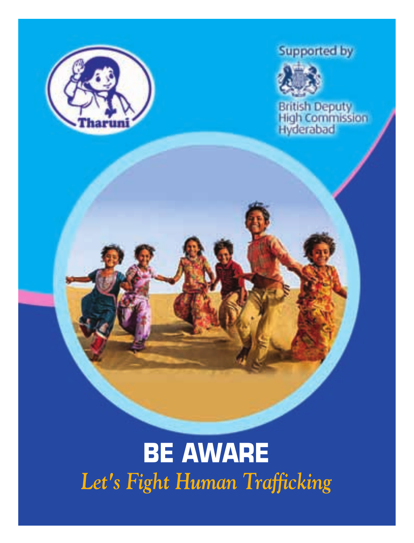



British Deputy<br>High Commission<br>Hyderabad

# **BE AWARE** *Let's Fight Human Trafficking*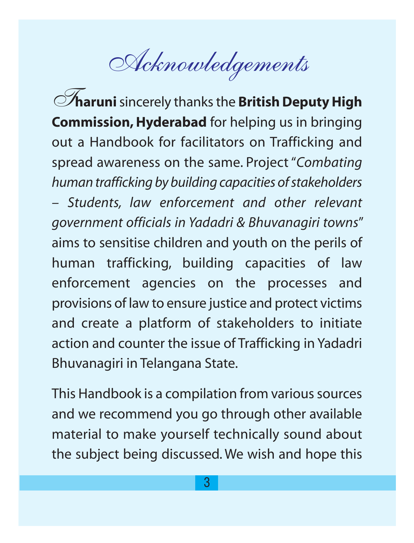Acknowledgements

**Tharuni** sincerely thanks the **British Deputy High Commission, Hyderabad** for helping us in bringing out a Handbook for facilitators on Trafficking and spread awareness on the same. Project "*Combating human trafficking by building capacities of stakeholders – Students, law enforcement and other relevant government officials in Yadadri & Bhuvanagiri towns*" aims to sensitise children and youth on the perils of human trafficking, building capacities of law enforcement agencies on the processes and provisions of law to ensure justice and protect victims and create a platform of stakeholders to initiate action and counter the issue of Trafficking in Yadadri Bhuvanagiri in Telangana State.

This Handbook is a compilation from various sources and we recommend you go through other available material to make yourself technically sound about the subject being discussed. We wish and hope this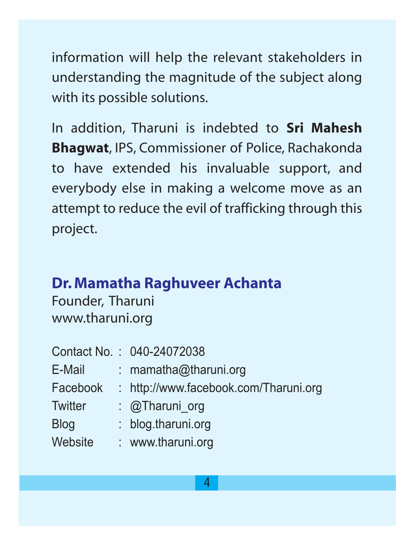information will help the relevant stakeholders in understanding the magnitude of the subject along with its possible solutions.

In addition, Tharuni is indebted to **Sri Mahesh Bhagwat**, IPS, Commissioner of Police, Rachakonda to have extended his invaluable support, and everybody else in making a welcome move as an attempt to reduce the evil of trafficking through this project.

#### **Dr. Mamatha Raghuveer Achanta**

Founder, Tharuni www.tharuni.org

|             | Contact No.: 040-24072038             |
|-------------|---------------------------------------|
| E-Mail      | : mamatha@tharuni.org                 |
| Facebook    | : http://www.facebook.com/Tharuni.org |
| Twitter     | : @Tharuni org                        |
| <b>Blog</b> | : blog.tharuni.org                    |
| Website     | : www.tharuni.org                     |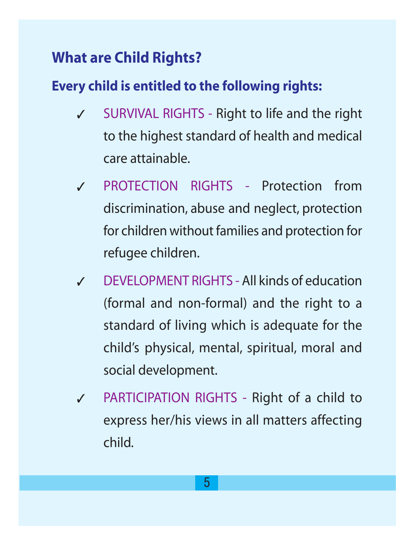## **What are Child Rights?**

#### **Every child is entitled to the following rights:**

- SURVIVAL RIGHTS Right to life and the right to the highest standard of health and medical care attainable.
- ✓ PROTECTION RIGHTS Protection from discrimination, abuse and neglect, protection for children without families and protection for refugee children.
- ✓ DEVELOPMENT RIGHTS All kinds of education (formal and non-formal) and the right to a standard of living which is adequate for the child's physical, mental, spiritual, moral and social development.
- ✓ PARTICIPATION RIGHTS Right of a child to express her/his views in all matters affecting child.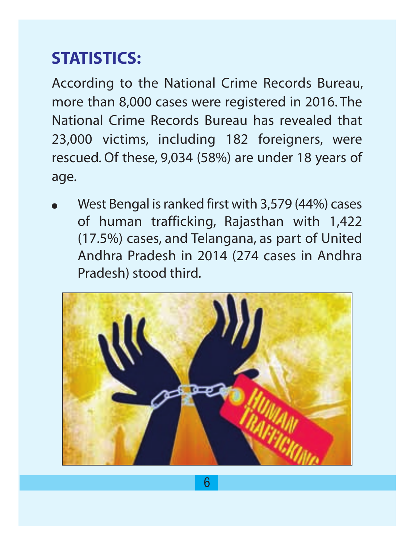## **STATISTICS:**

According to the National Crime Records Bureau, more than 8,000 cases were registered in 2016. The National Crime Records Bureau has revealed that 23,000 victims, including 182 foreigners, were rescued. Of these, 9,034 (58%) are under 18 years of age.

West Bengal is ranked first with 3,579 (44%) cases of human trafficking, Rajasthan with 1,422 (17.5%) cases, and Telangana, as part of United Andhra Pradesh in 2014 (274 cases in Andhra Pradesh) stood third.

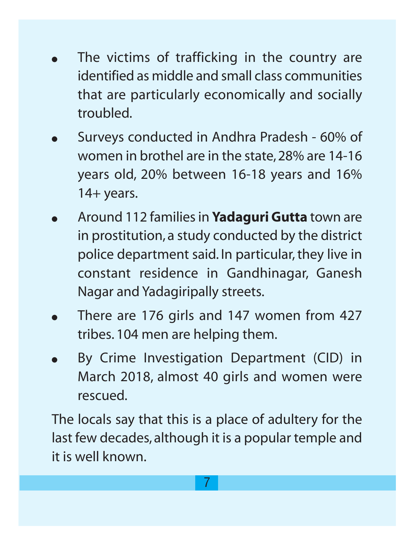- The victims of trafficking in the country are identified as middle and small class communities that are particularly economically and socially troubled.
- Surveys conducted in Andhra Pradesh 60% of women in brothel are in the state, 28% are 14-16 years old, 20% between 16-18 years and 16% 14+ years.
- Around 112 families in **Yadaguri Gutta** town are in prostitution, a study conducted by the district police department said. In particular, they live in constant residence in Gandhinagar, Ganesh Nagar and Yadagiripally streets.
- There are 176 girls and 147 women from 427 tribes. 104 men are helping them.
- By Crime Investigation Department (CID) in March 2018, almost 40 girls and women were rescued.

The locals say that this is a place of adultery for the last few decades, although it is a popular temple and it is well known.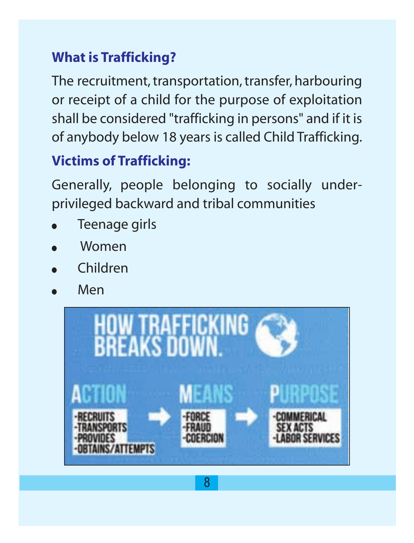## **What is Trafficking?**

The recruitment, transportation, transfer, harbouring or receipt of a child for the purpose of exploitation shall be considered "trafficking in persons" and if it is of anybody below 18 years is called Child Trafficking.

## **Victims of Trafficking:**

Generally, people belonging to socially underprivileged backward and tribal communities

- Teenage girls
- **Women**
- **Children**
- Men

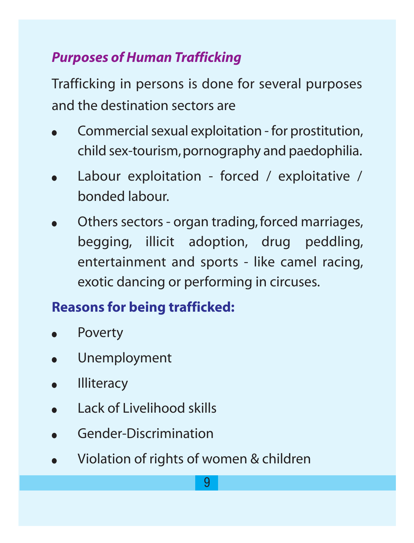## *Purposes of Human Trafficking*

Trafficking in persons is done for several purposes and the destination sectors are

- Commercial sexual exploitation for prostitution, child sex-tourism,pornography and paedophilia.
- Labour exploitation forced / exploitative / bonded labour.
- Others sectors organ trading, forced marriages, begging, illicit adoption, drug peddling, entertainment and sports - like camel racing, exotic dancing or performing in circuses.

## **Reasons for being trafficked:**

- **Poverty**
- Unemployment
- **Illiteracy**
- Lack of Livelihood skills
- Gender-Discrimination
- Violation of rights of women & children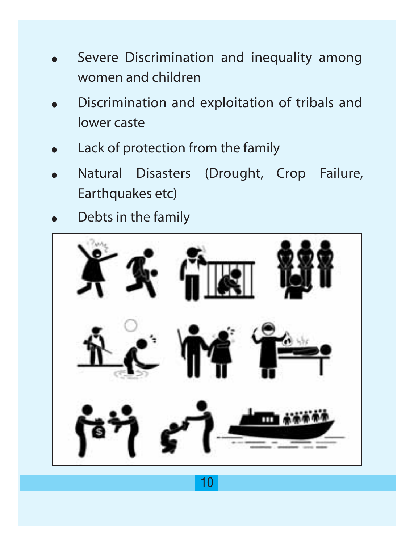- Severe Discrimination and inequality among women and children
- Discrimination and exploitation of tribals and lower caste
- Lack of protection from the family
- Natural Disasters (Drought, Crop Failure, Earthquakes etc)
- Debts in the family

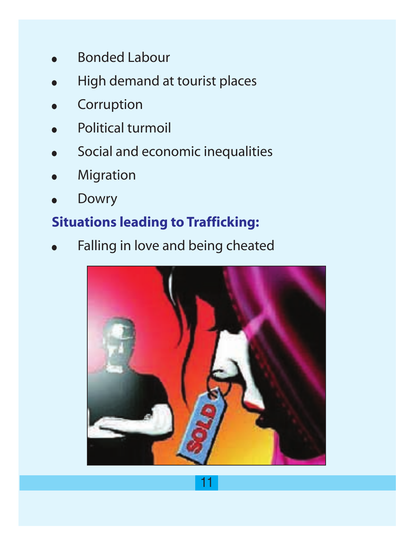- **Bonded Labour**
- High demand at tourist places
- **Corruption**
- Political turmoil
- Social and economic inequalities
- **Migration**
- **Dowry**

## **Situations leading to Trafficking:**

Falling in love and being cheated

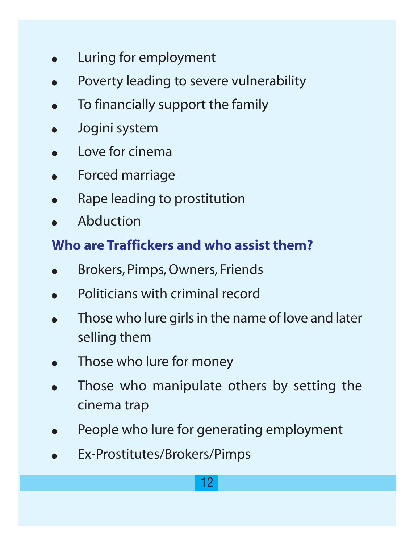- Luring for employment
- Poverty leading to severe vulnerability
- To financially support the family
- Jogini system
- Love for cinema
- Forced marriage
- Rape leading to prostitution
- **Abduction**

#### **Who are Traffickers and who assist them?**

- Brokers, Pimps, Owners, Friends
- Politicians with criminal record
- Those who lure girls in the name of love and later selling them
- Those who lure for money
- Those who manipulate others by setting the cinema trap
- People who lure for generating employment
- Ex-Prostitutes/Brokers/Pimps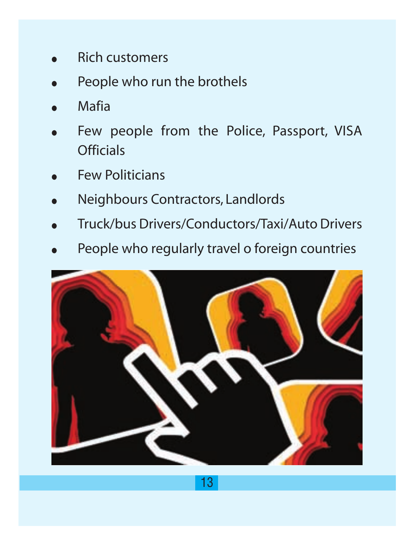- **Rich customers**
- People who run the brothels
- **Mafia**
- Few people from the Police, Passport, VISA **Officials**
- **Few Politicians**
- Neighbours Contractors, Landlords
- Truck/bus Drivers/Conductors/Taxi/Auto Drivers
- People who regularly travel o foreign countries

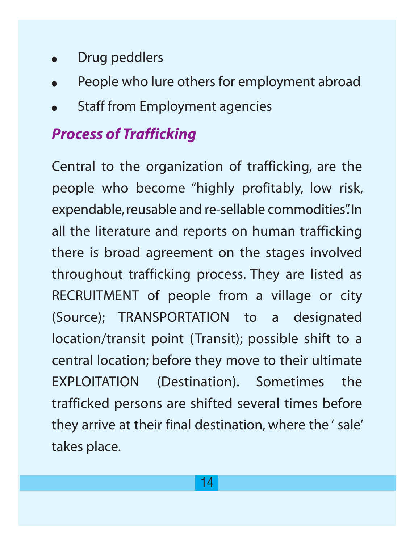- Drug peddlers
- People who lure others for employment abroad
- **Staff from Employment agencies**

## *Process of Trafficking*

Central to the organization of trafficking, are the people who become "highly profitably, low risk, expendable,reusable and re-sellable commodities".In all the literature and reports on human trafficking there is broad agreement on the stages involved throughout trafficking process. They are listed as RECRUITMENT of people from a village or city (Source); TRANSPORTATION to a designated location/transit point (Transit); possible shift to a central location; before they move to their ultimate EXPLOITATION (Destination). Sometimes the trafficked persons are shifted several times before they arrive at their final destination, where the ' sale' takes place.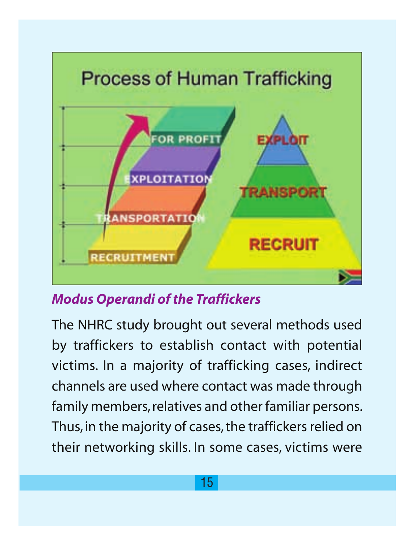

*Modus Operandi of the Traffickers*

The NHRC study brought out several methods used by traffickers to establish contact with potential victims. In a majority of trafficking cases, indirect channels are used where contact was made through family members, relatives and other familiar persons. Thus, in the majority of cases, the traffickers relied on their networking skills. In some cases, victims were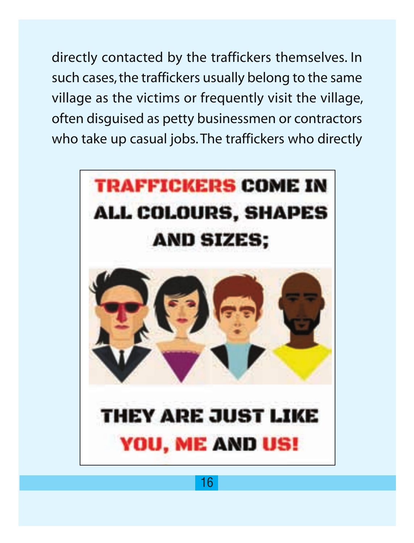directly contacted by the traffickers themselves. In such cases, the traffickers usually belong to the same village as the victims or frequently visit the village, often disguised as petty businessmen or contractors who take up casual jobs. The traffickers who directly

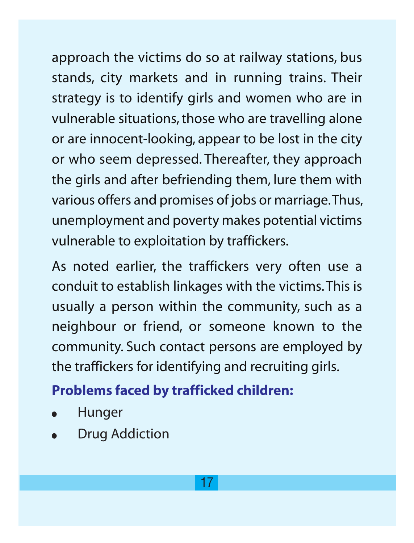approach the victims do so at railway stations, bus stands, city markets and in running trains. Their strategy is to identify girls and women who are in vulnerable situations, those who are travelling alone or are innocent-looking, appear to be lost in the city or who seem depressed. Thereafter, they approach the girls and after befriending them, lure them with various offers and promises of jobs or marriage.Thus, unemployment and poverty makes potential victims vulnerable to exploitation by traffickers.

As noted earlier, the traffickers very often use a conduit to establish linkages with the victims. This is usually a person within the community, such as a neighbour or friend, or someone known to the community. Such contact persons are employed by the traffickers for identifying and recruiting girls.

## **Problems faced by trafficked children:**

- **Hunger**
- **Drug Addiction**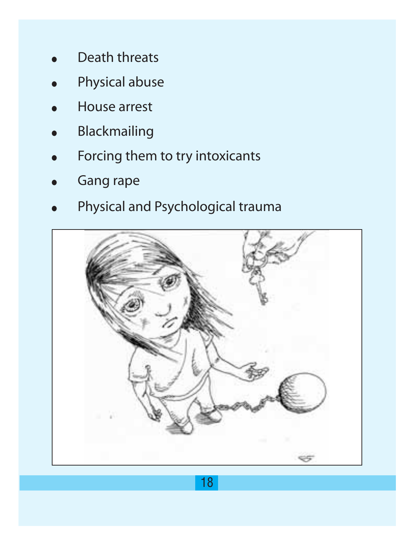- Death threats
- Physical abuse
- **House arrest**
- **Blackmailing**
- Forcing them to try intoxicants
- **Gang rape**
- Physical and Psychological trauma

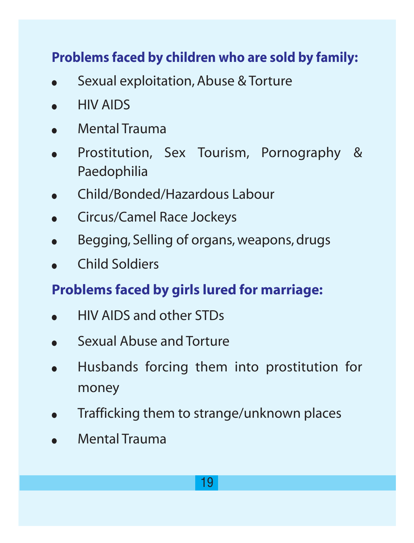## **Problems faced by children who are sold by family:**

- Sexual exploitation, Abuse & Torture
- **HIV AIDS**
- Mental Trauma
- Prostitution, Sex Tourism, Pornography & Paedophilia
- Child/Bonded/Hazardous Labour
- **•** Circus/Camel Race Jockeys
- Begging, Selling of organs, weapons, drugs
- Child Soldiers

#### **Problems faced by girls lured for marriage:**

- HIV AIDS and other STDs
- Sexual Abuse and Torture
- Husbands forcing them into prostitution for money
- Trafficking them to strange/unknown places
- Mental Trauma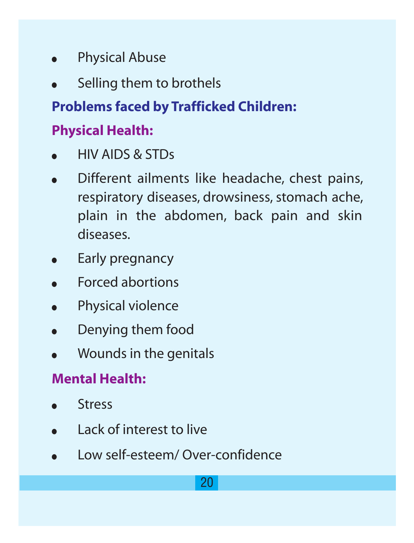- **Physical Abuse**
- Selling them to brothels

## **Problems faced by Trafficked Children:**

## **Physical Health:**

- HIV AIDS & STDs
- Different ailments like headache, chest pains, respiratory diseases, drowsiness, stomach ache, plain in the abdomen, back pain and skin diseases.
- Early pregnancy
- **Forced abortions**
- Physical violence
- Denving them food
- Wounds in the genitals

### **Mental Health:**

- **Stress**
- Lack of interest to live
- Low self-esteem/ Over-confidence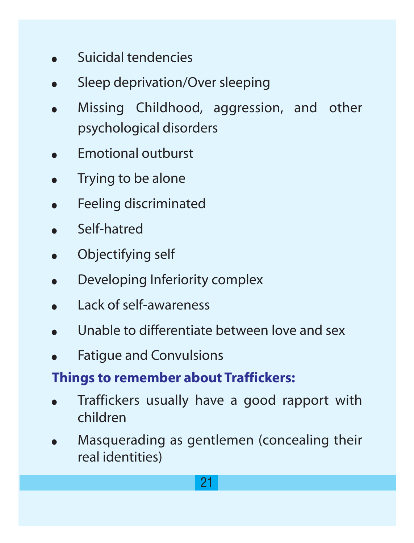- Suicidal tendencies
- Sleep deprivation/Over sleeping
- Missing Childhood, aggression, and other psychological disorders
- **Emotional outburst**
- Trying to be alone
- Feeling discriminated
- Self-hatred
- Objectifying self
- Developing Inferiority complex
- Lack of self-awareness
- Unable to differentiate between love and sex
- **Fatigue and Convulsions**

#### **Things to remember about Traffickers:**

- Traffickers usually have a good rapport with children
- Masquerading as gentlemen (concealing their real identities)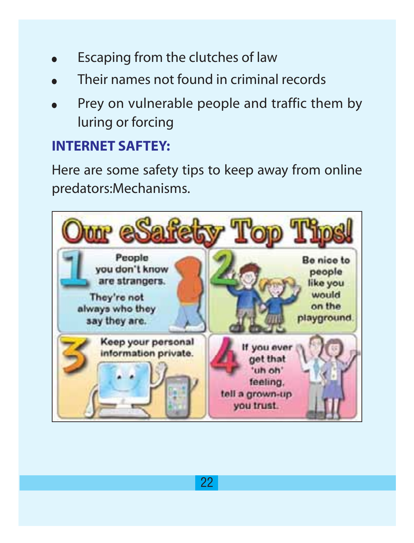- Escaping from the clutches of law
- Their names not found in criminal records
- Prey on vulnerable people and traffic them by luring or forcing

#### **INTERNET SAFTEY:**

Here are some safety tips to keep away from online predators:Mechanisms.

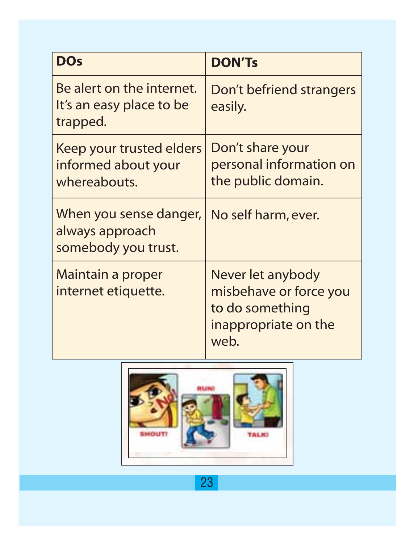| <b>DOs</b>                                                        | <b>DON'Ts</b>                                                                                  |
|-------------------------------------------------------------------|------------------------------------------------------------------------------------------------|
| Be alert on the internet.<br>It's an easy place to be<br>trapped. | Don't befriend strangers<br>easily.                                                            |
| Keep your trusted elders<br>informed about your<br>whereabouts.   | Don't share your<br>personal information on<br>the public domain.                              |
| When you sense danger,<br>always approach<br>somebody you trust.  | No self harm, ever.                                                                            |
| Maintain a proper<br>internet etiquette.                          | Never let anybody<br>misbehave or force you<br>to do something<br>inappropriate on the<br>web. |



23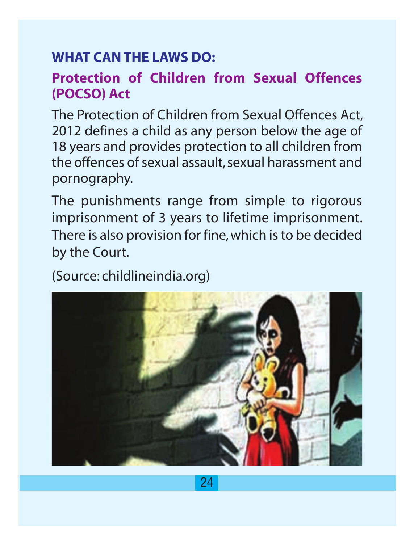#### **WHAT CAN THE LAWS DO:**

#### **Protection of Children from Sexual Offences (POCSO) Act**

The Protection of Children from Sexual Offences Act, 2012 defines a child as any person below the age of 18 years and provides protection to all children from the offences of sexual assault, sexual harassment and pornography.

The punishments range from simple to rigorous imprisonment of 3 years to lifetime imprisonment. There is also provision for fine, which is to be decided by the Court.

(Source: childlineindia.org)

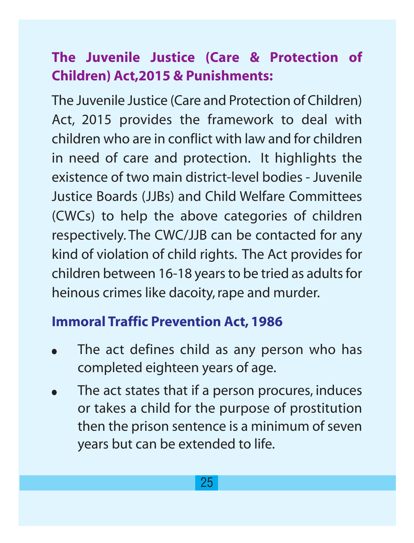## **The Juvenile Justice (Care & Protection of Children) Act,2015 & Punishments:**

The Juvenile Justice (Care and Protection of Children) Act, 2015 provides the framework to deal with children who are in conflict with law and for children in need of care and protection. It highlights the existence of two main district-level bodies - Juvenile Justice Boards (JJBs) and Child Welfare Committees (CWCs) to help the above categories of children respectively. The CWC/JJB can be contacted for any kind of violation of child rights. The Act provides for children between 16-18 years to be tried as adults for heinous crimes like dacoity, rape and murder.

#### **Immoral Traffic Prevention Act, 1986**

- The act defines child as any person who has completed eighteen years of age.
- The act states that if a person procures, induces or takes a child for the purpose of prostitution then the prison sentence is a minimum of seven years but can be extended to life.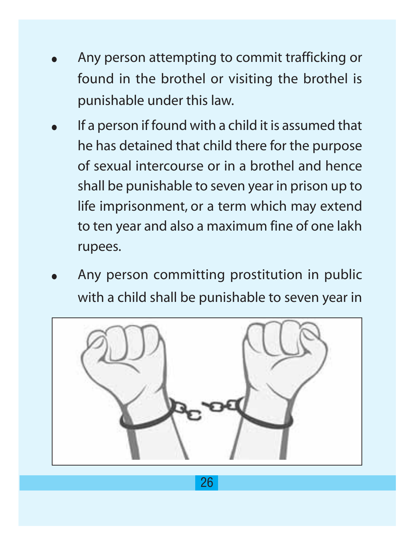- Any person attempting to commit trafficking or found in the brothel or visiting the brothel is punishable under this law.
- If a person if found with a child it is assumed that he has detained that child there for the purpose of sexual intercourse or in a brothel and hence shall be punishable to seven year in prison up to life imprisonment, or a term which may extend to ten year and also a maximum fine of one lakh rupees.
- Any person committing prostitution in public with a child shall be punishable to seven year in

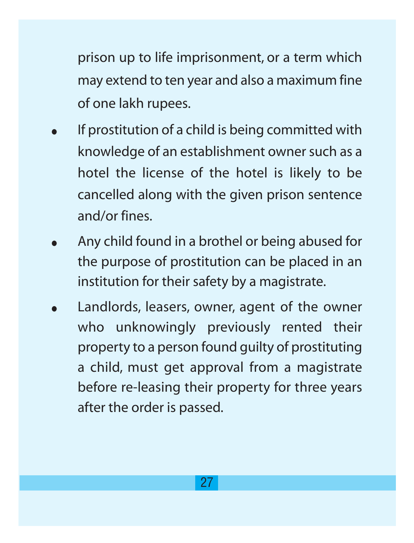prison up to life imprisonment, or a term which may extend to ten year and also a maximum fine of one lakh rupees.

- If prostitution of a child is being committed with knowledge of an establishment owner such as a hotel the license of the hotel is likely to be cancelled along with the given prison sentence and/or fines.
- Any child found in a brothel or being abused for the purpose of prostitution can be placed in an institution for their safety by a magistrate.
- Landlords, leasers, owner, agent of the owner who unknowingly previously rented their property to a person found guilty of prostituting a child, must get approval from a magistrate before re-leasing their property for three years after the order is passed.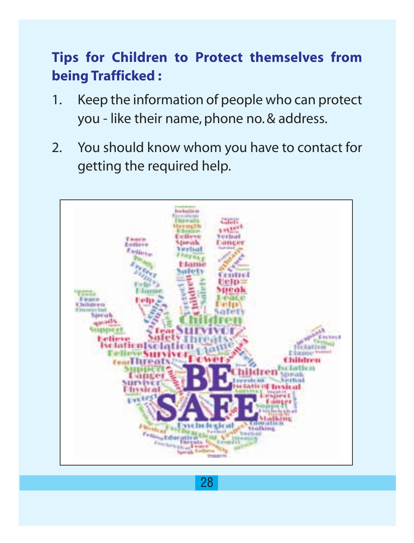## **Tips for Children to Protect themselves from being Trafficked :**

- 1. Keep the information of people who can protect you - like their name, phone no. & address.
- 2. You should know whom you have to contact for getting the required help.

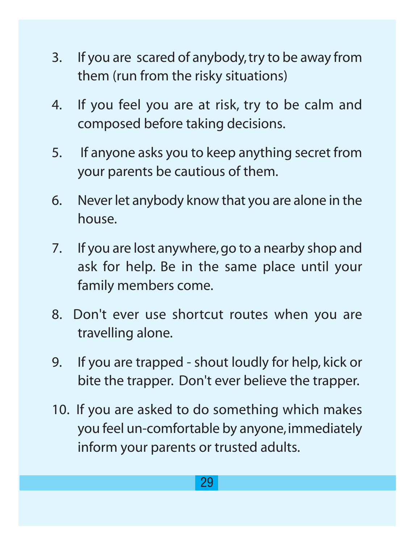- 3. If you are scared of anybody, try to be away from them (run from the risky situations)
- 4. If you feel you are at risk, try to be calm and composed before taking decisions.
- 5. If anyone asks you to keep anything secret from your parents be cautious of them.
- 6. Never let anybody know that you are alone in the house.
- 7. If you are lost anywhere, go to a nearby shop and ask for help. Be in the same place until your family members come.
- 8. Don't ever use shortcut routes when you are travelling alone.
- 9. If you are trapped shout loudly for help, kick or bite the trapper. Don't ever believe the trapper.
- 10. If you are asked to do something which makes you feel un-comfortable by anyone, immediately inform your parents or trusted adults.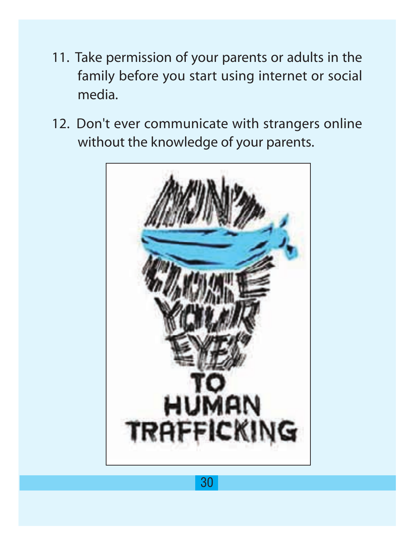- 11. Take permission of your parents or adults in the family before you start using internet or social media.
- 12. Don't ever communicate with strangers online without the knowledge of your parents.

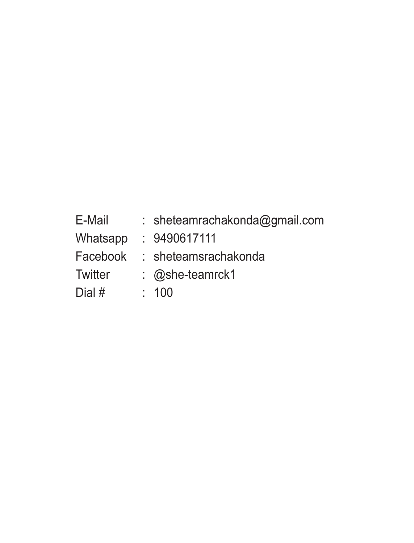| E-Mail   | : sheteamrachakonda@gmail.com |
|----------|-------------------------------|
| Whatsapp | : 9490617111                  |
| Facebook | : sheteamsrachakonda          |
| Twitter  | $\therefore$ @she-teamrck1    |
| Dial #   | : 100                         |